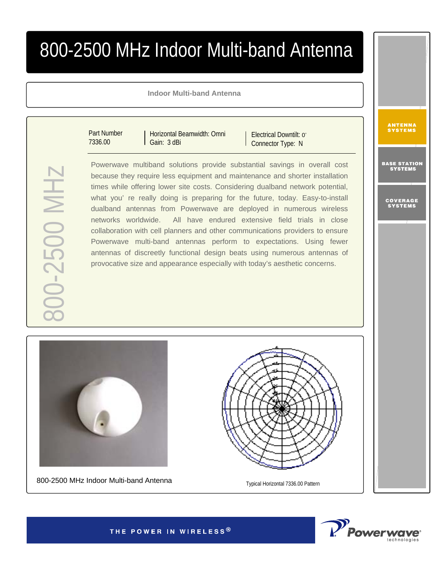## 800-2500 MHz Indoor Multi-band Antenna

## **Indoor Multi-band Antenna**

Part Number 7336.00

Horizontal Beamwidth: Omni Gain: 3 dBi

Electrical Downtilt: 0° Connector Type: N

Powerwave multiband solutions provide substantial savings in overall cost because they require less equipment and maintenance and shorter installation times while offering lower site costs. Considering dualband network potential, what you' re really doing is preparing for the future, today. Easy-to-install dualband antennas from Powerwave are deployed in numerous wireless networks worldwide. All have endured extensive field trials in close collaboration with cell planners and other communications providers to ensure Powerwave multi-band antennas perform to expectations. Using fewer antennas of discreetly functional design beats using numerous antennas of provocative size and appearance especially with today's aesthetic concerns.



800-2500 MHz Indoor Multi-band Antenna<br>
Typical Horizontal 7336.00 Pattern





**ANTENNA**<br>Systems

BASE STATION<br>Systems

COVERAGE<br>Systems

THE POWER IN WIRELESS®